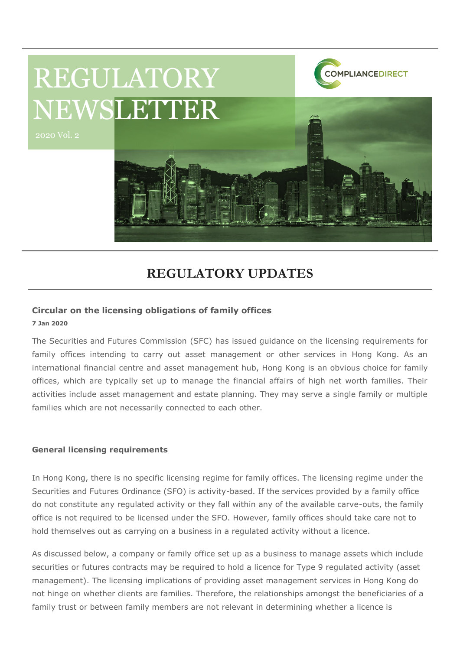

## **REGULATORY UPDATES**

#### **Circular on the licensing obligations of family offices**

**7 Jan 2020**

The Securities and Futures Commission (SFC) has issued guidance on the licensing requirements for family offices intending to carry out asset management or other services in Hong Kong. As an international financial centre and asset management hub, Hong Kong is an obvious choice for family offices, which are typically set up to manage the financial affairs of high net worth families. Their activities include asset management and estate planning. They may serve a single family or multiple families which are not necessarily connected to each other.

#### **General licensing requirements**

In Hong Kong, there is no specific licensing regime for family offices. The licensing regime under the Securities and Futures Ordinance (SFO) is activity-based. If the services provided by a family office do not constitute any regulated activity or they fall within any of the available carve-outs, the family office is not required to be licensed under the SFO. However, family offices should take care not to hold themselves out as carrying on a business in a regulated activity without a licence.

As discussed below, a company or family office set up as a business to manage assets which include securities or futures contracts may be required to hold a licence for Type 9 regulated activity (asset management). The licensing implications of providing asset management services in Hong Kong do not hinge on whether clients are families. Therefore, the relationships amongst the beneficiaries of a family trust or between family members are not relevant in determining whether a licence is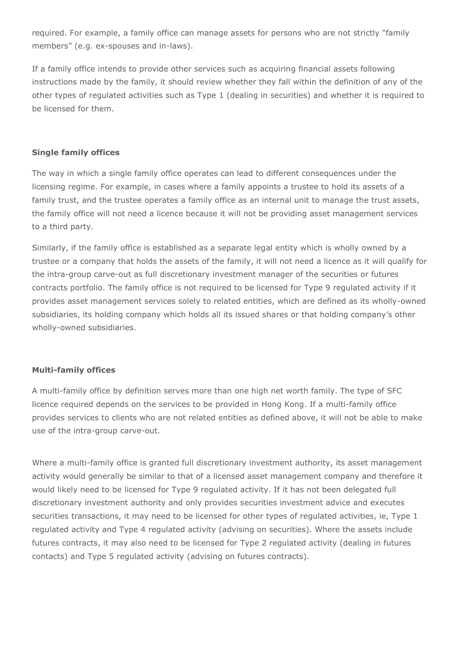required. For example, a family office can manage assets for persons who are not strictly "family members" (e.g. ex-spouses and in-laws).

If a family office intends to provide other services such as acquiring financial assets following instructions made by the family, it should review whether they fall within the definition of any of the other types of regulated activities such as Type 1 (dealing in securities) and whether it is required to be licensed for them.

#### **Single family offices**

The way in which a single family office operates can lead to different consequences under the licensing regime. For example, in cases where a family appoints a trustee to hold its assets of a family trust, and the trustee operates a family office as an internal unit to manage the trust assets, the family office will not need a licence because it will not be providing asset management services to a third party.

Similarly, if the family office is established as a separate legal entity which is wholly owned by a trustee or a company that holds the assets of the family, it will not need a licence as it will qualify for the intra-group carve-out as full discretionary investment manager of the securities or futures contracts portfolio. The family office is not required to be licensed for Type 9 regulated activity if it provides asset management services solely to related entities, which are defined as its wholly-owned subsidiaries, its holding company which holds all its issued shares or that holding company's other wholly-owned subsidiaries.

#### **Multi-family offices**

A multi-family office by definition serves more than one high net worth family. The type of SFC licence required depends on the services to be provided in Hong Kong. If a multi-family office provides services to clients who are not related entities as defined above, it will not be able to make use of the intra-group carve-out.

Where a multi-family office is granted full discretionary investment authority, its asset management activity would generally be similar to that of a licensed asset management company and therefore it would likely need to be licensed for Type 9 regulated activity. If it has not been delegated full discretionary investment authority and only provides securities investment advice and executes securities transactions, it may need to be licensed for other types of regulated activities, ie, Type 1 regulated activity and Type 4 regulated activity (advising on securities). Where the assets include futures contracts, it may also need to be licensed for Type 2 regulated activity (dealing in futures contacts) and Type 5 regulated activity (advising on futures contracts).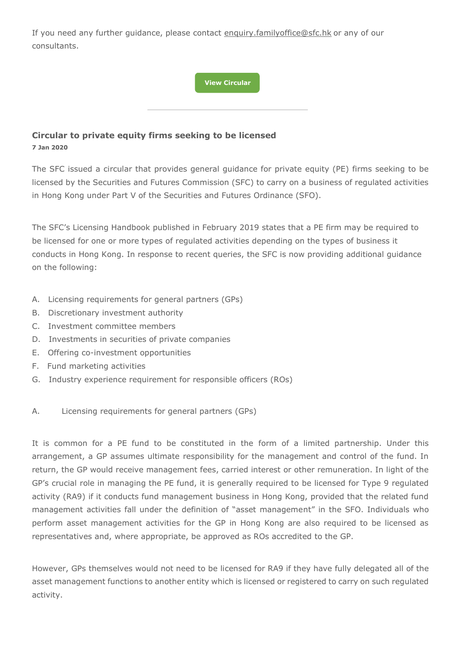If you need any further guidance, please contact [enquiry.familyoffice@sfc.hk](mailto:enquiry.familyoffice@sfc.hk) or any of our consultants.

**[View Circular](https://www.sfc.hk/edistributionWeb/gateway/EN/circular/doc?refNo=20EC1)**

### **Circular to private equity firms seeking to be licensed 7 Jan 2020**

The SFC issued a circular that provides general guidance for private equity (PE) firms seeking to be licensed by the Securities and Futures Commission (SFC) to carry on a business of regulated activities in Hong Kong under Part V of the Securities and Futures Ordinance (SFO).

The SFC's Licensing Handbook published in February 2019 states that a PE firm may be required to be licensed for one or more types of regulated activities depending on the types of business it conducts in Hong Kong. In response to recent queries, the SFC is now providing additional guidance on the following:

- A. Licensing requirements for general partners (GPs)
- B. Discretionary investment authority
- C. Investment committee members
- D. Investments in securities of private companies
- E. Offering co-investment opportunities
- F. Fund marketing activities
- G. Industry experience requirement for responsible officers (ROs)
- A. Licensing requirements for general partners (GPs)

It is common for a PE fund to be constituted in the form of a limited partnership. Under this arrangement, a GP assumes ultimate responsibility for the management and control of the fund. In return, the GP would receive management fees, carried interest or other remuneration. In light of the GP's crucial role in managing the PE fund, it is generally required to be licensed for Type 9 regulated activity (RA9) if it conducts fund management business in Hong Kong, provided that the related fund management activities fall under the definition of "asset management" in the SFO. Individuals who perform asset management activities for the GP in Hong Kong are also required to be licensed as representatives and, where appropriate, be approved as ROs accredited to the GP.

However, GPs themselves would not need to be licensed for RA9 if they have fully delegated all of the asset management functions to another entity which is licensed or registered to carry on such regulated activity.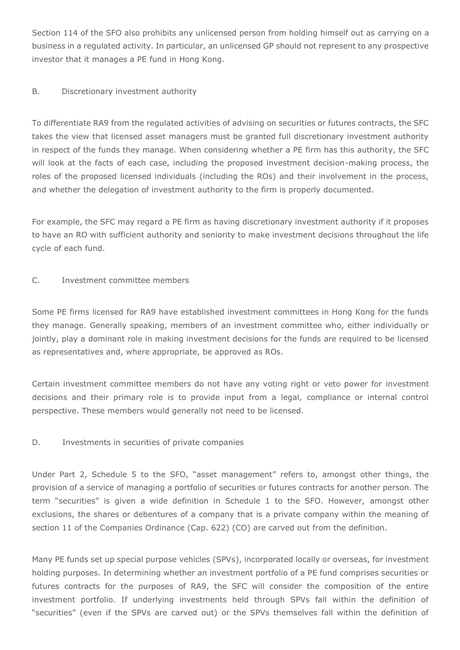Section 114 of the SFO also prohibits any unlicensed person from holding himself out as carrying on a business in a regulated activity. In particular, an unlicensed GP should not represent to any prospective investor that it manages a PE fund in Hong Kong.

#### B. Discretionary investment authority

To differentiate RA9 from the regulated activities of advising on securities or futures contracts, the SFC takes the view that licensed asset managers must be granted full discretionary investment authority in respect of the funds they manage. When considering whether a PE firm has this authority, the SFC will look at the facts of each case, including the proposed investment decision-making process, the roles of the proposed licensed individuals (including the ROs) and their involvement in the process, and whether the delegation of investment authority to the firm is properly documented.

For example, the SFC may regard a PE firm as having discretionary investment authority if it proposes to have an RO with sufficient authority and seniority to make investment decisions throughout the life cycle of each fund.

#### C. Investment committee members

Some PE firms licensed for RA9 have established investment committees in Hong Kong for the funds they manage. Generally speaking, members of an investment committee who, either individually or jointly, play a dominant role in making investment decisions for the funds are required to be licensed as representatives and, where appropriate, be approved as ROs.

Certain investment committee members do not have any voting right or veto power for investment decisions and their primary role is to provide input from a legal, compliance or internal control perspective. These members would generally not need to be licensed.

#### D. Investments in securities of private companies

Under Part 2, Schedule 5 to the SFO, "asset management" refers to, amongst other things, the provision of a service of managing a portfolio of securities or futures contracts for another person. The term "securities" is given a wide definition in Schedule 1 to the SFO. However, amongst other exclusions, the shares or debentures of a company that is a private company within the meaning of section 11 of the Companies Ordinance (Cap. 622) (CO) are carved out from the definition.

Many PE funds set up special purpose vehicles (SPVs), incorporated locally or overseas, for investment holding purposes. In determining whether an investment portfolio of a PE fund comprises securities or futures contracts for the purposes of RA9, the SFC will consider the composition of the entire investment portfolio. If underlying investments held through SPVs fall within the definition of "securities" (even if the SPVs are carved out) or the SPVs themselves fall within the definition of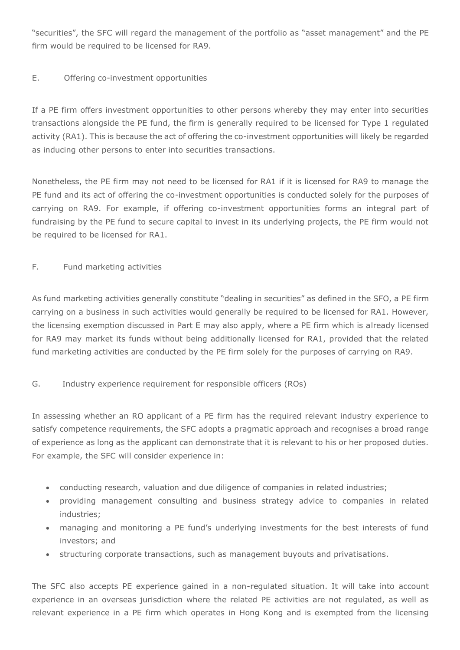"securities", the SFC will regard the management of the portfolio as "asset management" and the PE firm would be required to be licensed for RA9.

#### E. Offering co-investment opportunities

If a PE firm offers investment opportunities to other persons whereby they may enter into securities transactions alongside the PE fund, the firm is generally required to be licensed for Type 1 regulated activity (RA1). This is because the act of offering the co-investment opportunities will likely be regarded as inducing other persons to enter into securities transactions.

Nonetheless, the PE firm may not need to be licensed for RA1 if it is licensed for RA9 to manage the PE fund and its act of offering the co-investment opportunities is conducted solely for the purposes of carrying on RA9. For example, if offering co-investment opportunities forms an integral part of fundraising by the PE fund to secure capital to invest in its underlying projects, the PE firm would not be required to be licensed for RA1.

#### F. Fund marketing activities

As fund marketing activities generally constitute "dealing in securities" as defined in the SFO, a PE firm carrying on a business in such activities would generally be required to be licensed for RA1. However, the licensing exemption discussed in Part E may also apply, where a PE firm which is already licensed for RA9 may market its funds without being additionally licensed for RA1, provided that the related fund marketing activities are conducted by the PE firm solely for the purposes of carrying on RA9.

#### G. Industry experience requirement for responsible officers (ROs)

In assessing whether an RO applicant of a PE firm has the required relevant industry experience to satisfy competence requirements, the SFC adopts a pragmatic approach and recognises a broad range of experience as long as the applicant can demonstrate that it is relevant to his or her proposed duties. For example, the SFC will consider experience in:

- conducting research, valuation and due diligence of companies in related industries;
- providing management consulting and business strategy advice to companies in related industries;
- managing and monitoring a PE fund's underlying investments for the best interests of fund investors; and
- structuring corporate transactions, such as management buyouts and privatisations.

The SFC also accepts PE experience gained in a non-regulated situation. It will take into account experience in an overseas jurisdiction where the related PE activities are not regulated, as well as relevant experience in a PE firm which operates in Hong Kong and is exempted from the licensing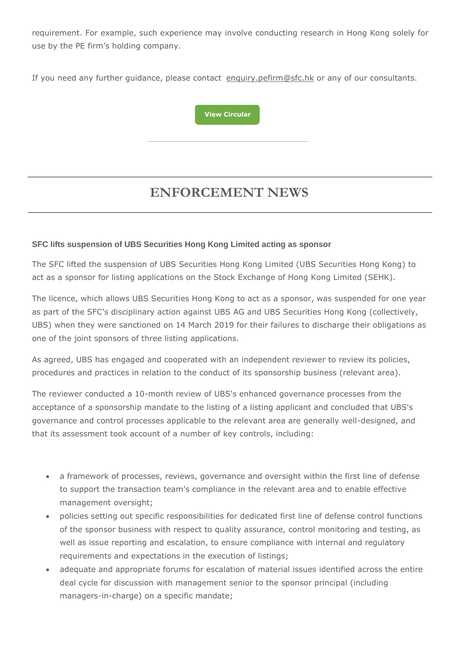requirement. For example, such experience may involve conducting research in Hong Kong solely for use by the PE firm's holding company.

If you need any further guidance, please contact [enquiry.pefirm@sfc.hk](mailto:enquiry.pefirm@sfc.hk) or any of our consultants.



# **ENFORCEMENT NEWS**

#### **SFC lifts suspension of UBS Securities Hong Kong Limited acting as sponsor**

The SFC lifted the suspension of UBS Securities Hong Kong Limited (UBS Securities Hong Kong) to act as a sponsor for listing applications on the Stock Exchange of Hong Kong Limited (SEHK).

The licence, which allows UBS Securities Hong Kong to act as a sponsor, was suspended for one year as part of the SFC's disciplinary action against UBS AG and UBS Securities Hong Kong (collectively, UBS) when they were sanctioned on 14 March 2019 for their failures to discharge their obligations as one of the joint sponsors of three listing applications.

As agreed, UBS has engaged and cooperated with an independent reviewer to review its policies, procedures and practices in relation to the conduct of its sponsorship business (relevant area).

The reviewer conducted a 10-month review of UBS's enhanced governance processes from the acceptance of a sponsorship mandate to the listing of a listing applicant and concluded that UBS's governance and control processes applicable to the relevant area are generally well-designed, and that its assessment took account of a number of key controls, including:

- a framework of processes, reviews, governance and oversight within the first line of defense to support the transaction team's compliance in the relevant area and to enable effective management oversight;
- policies setting out specific responsibilities for dedicated first line of defense control functions of the sponsor business with respect to quality assurance, control monitoring and testing, as well as issue reporting and escalation, to ensure compliance with internal and regulatory requirements and expectations in the execution of listings;
- adequate and appropriate forums for escalation of material issues identified across the entire deal cycle for discussion with management senior to the sponsor principal (including managers-in-charge) on a specific mandate;